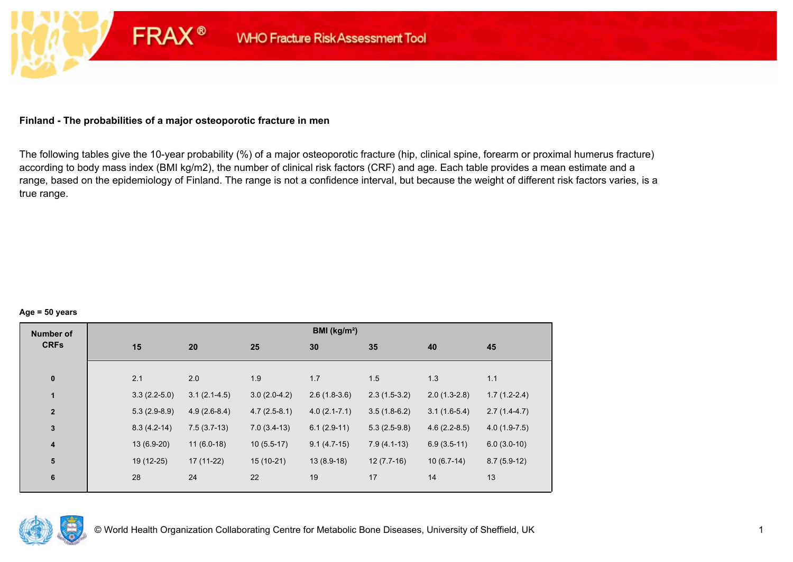## **Finland - The probabilities of a major osteoporotic fracture in men**

**FRAX®** 

The following tables give the 10-year probability (%) of a major osteoporotic fracture (hip, clinical spine, forearm or proximal humerus fracture) according to body mass index (BMI kg/m2), the number of clinical risk factors (CRF) and age. Each table provides a mean estimate and a range, based on the epidemiology of Finland. The range is not a confidence interval, but because the weight of different risk factors varies, is a true range.

#### **Age = 50 years**

| <b>Number of</b> |                |                |                | BMI (kg/m <sup>2</sup> ) |                |                |                |
|------------------|----------------|----------------|----------------|--------------------------|----------------|----------------|----------------|
| <b>CRFs</b>      | 15             | 20             | 25             | 30                       | 35             | 40             | 45             |
|                  |                |                |                |                          |                |                |                |
| $\pmb{0}$        | 2.1            | 2.0            | 1.9            | 1.7                      | 1.5            | 1.3            | 1.1            |
| 1                | $3.3(2.2-5.0)$ | $3.1(2.1-4.5)$ | $3.0(2.0-4.2)$ | $2.6(1.8-3.6)$           | $2.3(1.5-3.2)$ | $2.0(1.3-2.8)$ | $1.7(1.2-2.4)$ |
| $\mathbf{2}$     | $5.3(2.9-8.9)$ | $4.9(2.6-8.4)$ | $4.7(2.5-8.1)$ | $4.0(2.1 - 7.1)$         | $3.5(1.8-6.2)$ | $3.1(1.6-5.4)$ | $2.7(1.4-4.7)$ |
| $\mathbf{3}$     | $8.3(4.2-14)$  | $7.5(3.7-13)$  | $7.0(3.4-13)$  | $6.1(2.9-11)$            | $5.3(2.5-9.8)$ | $4.6(2.2-8.5)$ | $4.0(1.9-7.5)$ |
| $\boldsymbol{4}$ | 13 (6.9-20)    | $11(6.0-18)$   | $10(5.5-17)$   | $9.1(4.7-15)$            | $7.9(4.1-13)$  | $6.9(3.5-11)$  | $6.0(3.0-10)$  |
| 5                | 19 (12-25)     | $17(11-22)$    | $15(10-21)$    | $13(8.9-18)$             | $12(7.7-16)$   | $10(6.7-14)$   | $8.7(5.9-12)$  |
| $\bf 6$          | 28             | 24             | 22             | 19                       | 17             | 14             | 13             |
|                  |                |                |                |                          |                |                |                |

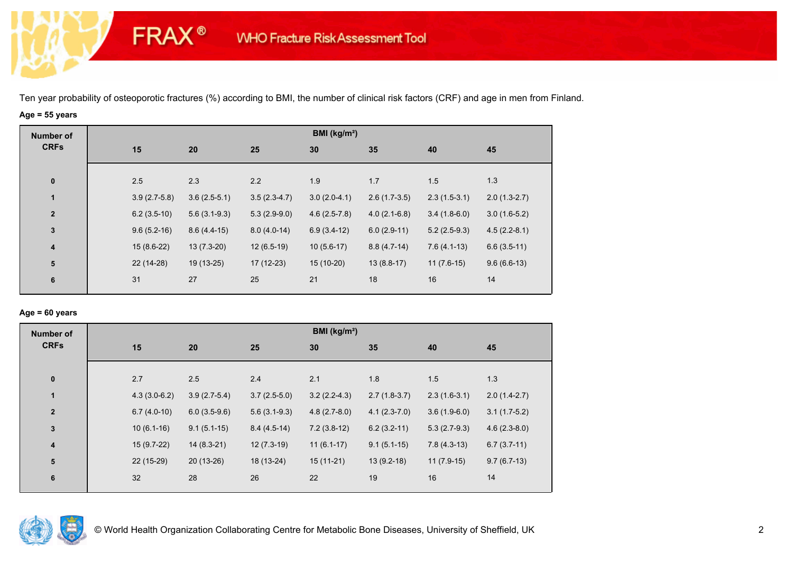# **Age = 55 years**

**FRAX®** 

| <b>Number of</b> |    |                |                |                | BMI ( $kg/m2$ ) |                |                |                |
|------------------|----|----------------|----------------|----------------|-----------------|----------------|----------------|----------------|
| <b>CRFs</b>      |    | 15             | 20             | 25             | 30              | 35             | 40             | 45             |
|                  |    |                |                |                |                 |                |                |                |
| $\bf{0}$         |    | 2.5            | 2.3            | 2.2            | 1.9             | 1.7            | 1.5            | 1.3            |
| $\mathbf{1}$     |    | $3.9(2.7-5.8)$ | $3.6(2.5-5.1)$ | $3.5(2.3-4.7)$ | $3.0(2.0-4.1)$  | $2.6(1.7-3.5)$ | $2.3(1.5-3.1)$ | $2.0(1.3-2.7)$ |
| $\mathbf{2}$     |    | $6.2(3.5-10)$  | $5.6(3.1-9.3)$ | $5.3(2.9-9.0)$ | $4.6(2.5-7.8)$  | $4.0(2.1-6.8)$ | $3.4(1.8-6.0)$ | $3.0(1.6-5.2)$ |
| $\mathbf 3$      |    | $9.6(5.2-16)$  | $8.6(4.4-15)$  | $8.0(4.0-14)$  | $6.9(3.4-12)$   | $6.0(2.9-11)$  | $5.2(2.5-9.3)$ | $4.5(2.2-8.1)$ |
| $\boldsymbol{4}$ |    | $15(8.6-22)$   | $13(7.3-20)$   | $12(6.5-19)$   | $10(5.6-17)$    | $8.8(4.7-14)$  | $7.6(4.1-13)$  | $6.6(3.5-11)$  |
| ${\bf 5}$        |    | 22 (14-28)     | 19 (13-25)     | 17 (12-23)     | $15(10-20)$     | $13(8.8-17)$   | $11(7.6-15)$   | $9.6(6.6-13)$  |
| 6                | 31 |                | 27             | 25             | 21              | 18             | 16             | 14             |
|                  |    |                |                |                |                 |                |                |                |

## **Age = 60 years**

| <b>Number of</b><br><b>CRFs</b> |                |                |                | BMI ( $kg/m2$ ) |                |                |                |
|---------------------------------|----------------|----------------|----------------|-----------------|----------------|----------------|----------------|
|                                 | 15             | 20             | 25             | 30              | 35             | 40             | 45             |
|                                 |                |                |                |                 |                |                |                |
| $\bf{0}$                        | 2.7            | 2.5            | 2.4            | 2.1             | 1.8            | 1.5            | 1.3            |
| $\mathbf{1}$                    | $4.3(3.0-6.2)$ | $3.9(2.7-5.4)$ | $3.7(2.5-5.0)$ | $3.2(2.2-4.3)$  | $2.7(1.8-3.7)$ | $2.3(1.6-3.1)$ | $2.0(1.4-2.7)$ |
| $\overline{2}$                  | $6.7(4.0-10)$  | $6.0(3.5-9.6)$ | $5.6(3.1-9.3)$ | $4.8(2.7-8.0)$  | $4.1(2.3-7.0)$ | $3.6(1.9-6.0)$ | $3.1(1.7-5.2)$ |
| $\mathbf{3}$                    | $10(6.1-16)$   | $9.1(5.1-15)$  | $8.4(4.5-14)$  | $7.2(3.8-12)$   | $6.2(3.2-11)$  | $5.3(2.7-9.3)$ | $4.6(2.3-8.0)$ |
| $\boldsymbol{4}$                | $15(9.7-22)$   | $14(8.3-21)$   | $12(7.3-19)$   | $11(6.1-17)$    | $9.1(5.1-15)$  | $7.8(4.3-13)$  | $6.7(3.7-11)$  |
| 5                               | 22 (15-29)     | $20(13-26)$    | 18 (13-24)     | $15(11-21)$     | $13(9.2-18)$   | $11(7.9-15)$   | $9.7(6.7-13)$  |
| 6                               | 32             | 28             | 26             | 22              | 19             | 16             | 14             |
|                                 |                |                |                |                 |                |                |                |

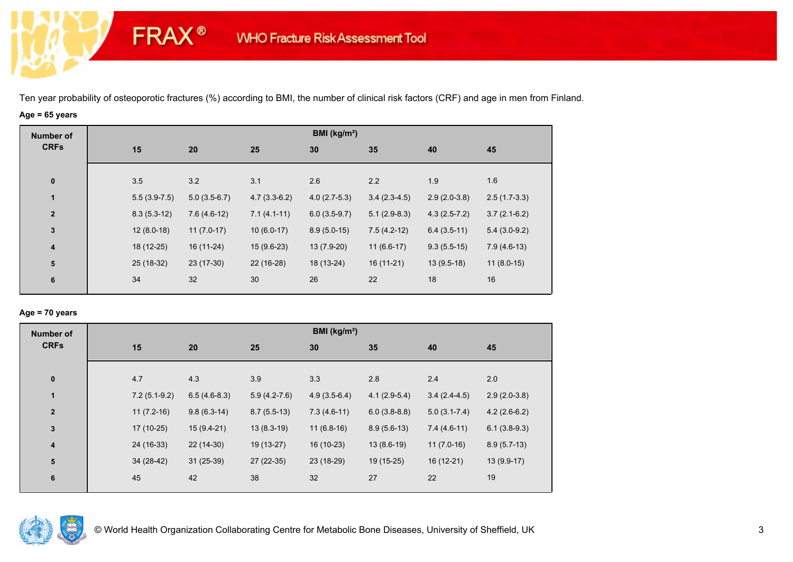# **Age = 65 years**

**FRAX®** 

| Number of    |                |                |                | BMI (kg/m <sup>2</sup> ) |                |                |                |
|--------------|----------------|----------------|----------------|--------------------------|----------------|----------------|----------------|
| <b>CRFs</b>  | 15             | 20             | 25             | 30                       | 35             | 40             | 45             |
| $\bf{0}$     | 3.5            | 3.2            | 3.1            | 2.6                      | 2.2            | 1.9            | 1.6            |
| 1            | $5.5(3.9-7.5)$ | $5.0(3.5-6.7)$ | $4.7(3.3-6.2)$ | $4.0(2.7-5.3)$           | $3.4(2.3-4.5)$ | $2.9(2.0-3.8)$ | $2.5(1.7-3.3)$ |
| $\mathbf{2}$ | $8.3(5.3-12)$  | $7.6(4.6-12)$  | $7.1(4.1-11)$  | $6.0(3.5-9.7)$           | $5.1(2.9-8.3)$ | $4.3(2.5-7.2)$ | $3.7(2.1-6.2)$ |
| $\mathbf 3$  | $12(8.0-18)$   | $11(7.0-17)$   | $10(6.0-17)$   | $8.9(5.0-15)$            | $7.5(4.2-12)$  | $6.4(3.5-11)$  | $5.4(3.0-9.2)$ |
| 4            | 18 (12-25)     | 16 (11-24)     | $15(9.6-23)$   | 13 (7.9-20)              | $11(6.6-17)$   | $9.3(5.5-15)$  | $7.9(4.6-13)$  |
| ${\bf 5}$    | 25 (18-32)     | 23 (17-30)     | 22 (16-28)     | 18 (13-24)               | $16(11-21)$    | $13(9.5-18)$   | $11(8.0-15)$   |
| 6            | 34             | 32             | 30             | 26                       | 22             | 18             | 16             |

## **Age = 70 years**

| <b>Number of</b> |                |                |                | BMI ( $kg/m2$ ) |                |                  |                |  |
|------------------|----------------|----------------|----------------|-----------------|----------------|------------------|----------------|--|
| <b>CRFs</b>      | 15             | 20             | 25             | 30              | 35             | 40               | 45             |  |
|                  |                |                |                |                 |                |                  |                |  |
| $\bf{0}$         | 4.7            | 4.3            | 3.9            | 3.3             | 2.8            | 2.4              | 2.0            |  |
| $\mathbf{1}$     | $7.2(5.1-9.2)$ | $6.5(4.6-8.3)$ | $5.9(4.2-7.6)$ | $4.9(3.5-6.4)$  | $4.1(2.9-5.4)$ | $3.4(2.4-4.5)$   | $2.9(2.0-3.8)$ |  |
| $\overline{2}$   | $11(7.2-16)$   | $9.8(6.3-14)$  | $8.7(5.5-13)$  | $7.3(4.6-11)$   | $6.0(3.8-8.8)$ | $5.0(3.1 - 7.4)$ | $4.2(2.6-6.2)$ |  |
| $\mathbf{3}$     | 17 (10-25)     | $15(9.4-21)$   | $13(8.3-19)$   | $11(6.8-16)$    | $8.9(5.6-13)$  | $7.4(4.6-11)$    | $6.1(3.8-9.3)$ |  |
| 4                | 24 (16-33)     | $22(14-30)$    | 19 (13-27)     | 16 (10-23)      | $13(8.6-19)$   | $11(7.0-16)$     | $8.9(5.7-13)$  |  |
| 5                | $34(28-42)$    | $31(25-39)$    | 27 (22-35)     | 23 (18-29)      | 19 (15-25)     | $16(12-21)$      | $13(9.9-17)$   |  |
| 6                | 45             | 42             | 38             | 32              | 27             | 22               | 19             |  |
|                  |                |                |                |                 |                |                  |                |  |

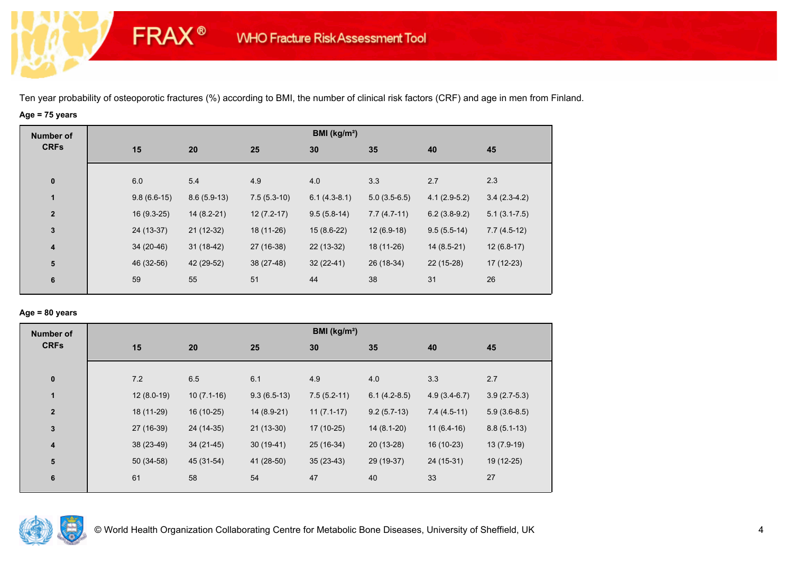# **Age = 75 years**

**FRAX®** 

| <b>Number of</b>        |               |               |               | BMI (kg/m <sup>2</sup> ) |                |                |                  |
|-------------------------|---------------|---------------|---------------|--------------------------|----------------|----------------|------------------|
| <b>CRFs</b>             | 15            | 20            | 25            | 30                       | 35             | 40             | 45               |
|                         |               |               |               |                          |                |                |                  |
| $\bf{0}$                | 6.0           | 5.4           | 4.9           | 4.0                      | 3.3            | 2.7            | 2.3              |
| 1                       | $9.8(6.6-15)$ | $8.6(5.9-13)$ | $7.5(5.3-10)$ | $6.1(4.3-8.1)$           | $5.0(3.5-6.5)$ | $4.1(2.9-5.2)$ | $3.4(2.3-4.2)$   |
| $\overline{2}$          | $16(9.3-25)$  | $14(8.2-21)$  | $12(7.2-17)$  | $9.5(5.8-14)$            | $7.7(4.7-11)$  | $6.2(3.8-9.2)$ | $5.1(3.1 - 7.5)$ |
| $\mathbf{3}$            | 24 (13-37)    | $21(12-32)$   | 18 (11-26)    | $15(8.6-22)$             | $12(6.9-18)$   | $9.5(5.5-14)$  | $7.7(4.5-12)$    |
| $\overline{\mathbf{4}}$ | 34 (20-46)    | $31(18-42)$   | 27 (16-38)    | 22 (13-32)               | 18 (11-26)     | $14(8.5-21)$   | $12(6.8-17)$     |
| 5                       | 46 (32-56)    | 42 (29-52)    | 38 (27-48)    | $32(22-41)$              | 26 (18-34)     | 22 (15-28)     | 17 (12-23)       |
| 6                       | 59            | 55            | 51            | 44                       | 38             | 31             | 26               |
|                         |               |               |               |                          |                |                |                  |

## **Age = 80 years**

| <b>Number of</b><br><b>CRFs</b> |              |              |               | BMI ( $kg/m2$ ) |                |                |                |
|---------------------------------|--------------|--------------|---------------|-----------------|----------------|----------------|----------------|
|                                 | 15           | 20           | 25            | 30              | 35             | 40             | 45             |
|                                 |              |              |               |                 |                |                |                |
| $\bf{0}$                        | 7.2          | 6.5          | 6.1           | 4.9             | 4.0            | 3.3            | 2.7            |
| $\mathbf{1}$                    | $12(8.0-19)$ | $10(7.1-16)$ | $9.3(6.5-13)$ | $7.5(5.2-11)$   | $6.1(4.2-8.5)$ | $4.9(3.4-6.7)$ | $3.9(2.7-5.3)$ |
| $\overline{2}$                  | 18 (11-29)   | 16 (10-25)   | 14 (8.9-21)   | $11(7.1-17)$    | $9.2(5.7-13)$  | $7.4(4.5-11)$  | $5.9(3.6-8.5)$ |
| $\mathbf{3}$                    | 27 (16-39)   | 24 (14-35)   | $21(13-30)$   | $17(10-25)$     | $14(8.1-20)$   | $11(6.4-16)$   | $8.8(5.1-13)$  |
| 4                               | 38 (23-49)   | $34(21-45)$  | $30(19-41)$   | 25 (16-34)      | $20(13-28)$    | 16 (10-23)     | $13(7.9-19)$   |
| 5                               | $50(34-58)$  | 45 (31-54)   | 41 (28-50)    | $35(23-43)$     | 29 (19-37)     | 24 (15-31)     | 19 (12-25)     |
| $6\phantom{1}6$                 | 61           | 58           | 54            | 47              | 40             | 33             | 27             |
|                                 |              |              |               |                 |                |                |                |